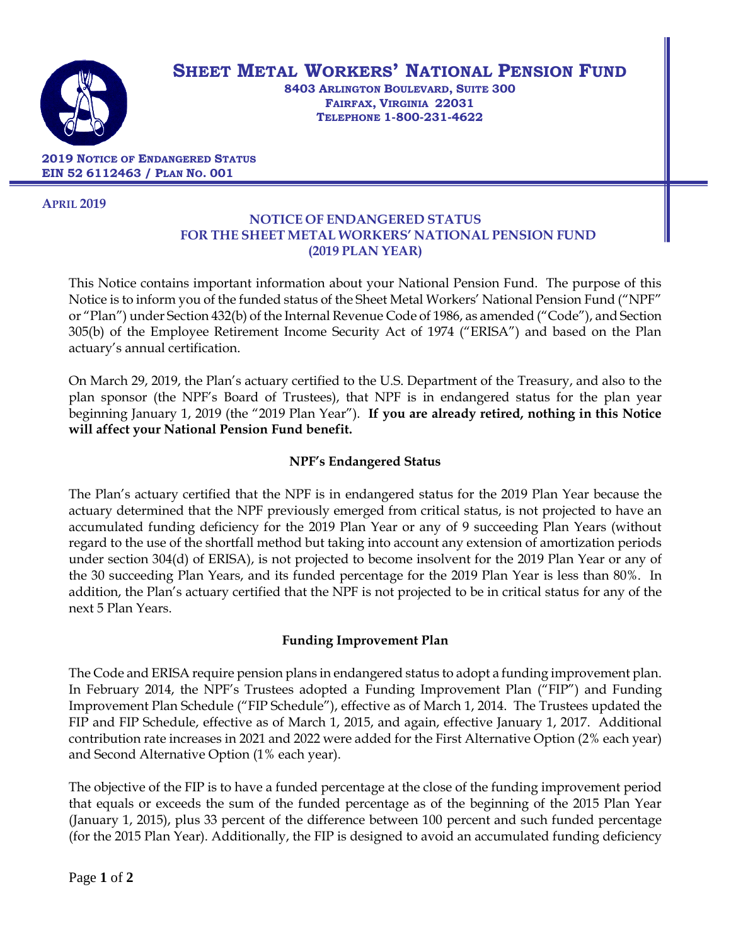

# **SHEET METAL WORKERS' NATIONAL PENSION FUND**

**8403 ARLINGTON BOULEVARD, SUITE 300 FAIRFAX, VIRGINIA 22031 TELEPHONE 1-800-231-4622**

**2019 NOTICE OF ENDANGERED STATUS EIN 52 6112463 / PLAN NO. 001**

#### **APRIL 2019**

## **NOTICE OF ENDANGERED STATUS FOR THE SHEET METAL WORKERS' NATIONAL PENSION FUND (2019 PLAN YEAR)**

This Notice contains important information about your National Pension Fund. The purpose of this Notice is to inform you of the funded status of the Sheet Metal Workers' National Pension Fund ("NPF" or "Plan") under Section 432(b) of the Internal Revenue Code of 1986, as amended ("Code"), and Section 305(b) of the Employee Retirement Income Security Act of 1974 ("ERISA") and based on the Plan actuary's annual certification.

On March 29, 2019, the Plan's actuary certified to the U.S. Department of the Treasury, and also to the plan sponsor (the NPF's Board of Trustees), that NPF is in endangered status for the plan year beginning January 1, 2019 (the "2019 Plan Year"). **If you are already retired, nothing in this Notice will affect your National Pension Fund benefit.** 

## **NPF's Endangered Status**

The Plan's actuary certified that the NPF is in endangered status for the 2019 Plan Year because the actuary determined that the NPF previously emerged from critical status, is not projected to have an accumulated funding deficiency for the 2019 Plan Year or any of 9 succeeding Plan Years (without regard to the use of the shortfall method but taking into account any extension of amortization periods under section 304(d) of ERISA), is not projected to become insolvent for the 2019 Plan Year or any of the 30 succeeding Plan Years, and its funded percentage for the 2019 Plan Year is less than 80%. In addition, the Plan's actuary certified that the NPF is not projected to be in critical status for any of the next 5 Plan Years.

## **Funding Improvement Plan**

The Code and ERISA require pension plans in endangered status to adopt a funding improvement plan. In February 2014, the NPF's Trustees adopted a Funding Improvement Plan ("FIP") and Funding Improvement Plan Schedule ("FIP Schedule"), effective as of March 1, 2014. The Trustees updated the FIP and FIP Schedule, effective as of March 1, 2015, and again, effective January 1, 2017. Additional contribution rate increases in 2021 and 2022 were added for the First Alternative Option (2% each year) and Second Alternative Option (1% each year).

The objective of the FIP is to have a funded percentage at the close of the funding improvement period that equals or exceeds the sum of the funded percentage as of the beginning of the 2015 Plan Year (January 1, 2015), plus 33 percent of the difference between 100 percent and such funded percentage (for the 2015 Plan Year). Additionally, the FIP is designed to avoid an accumulated funding deficiency